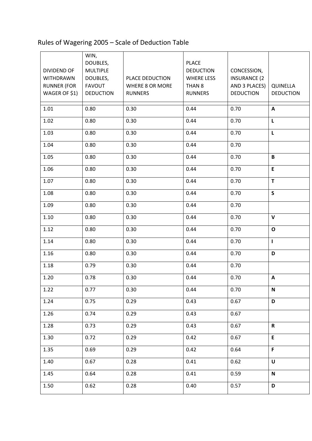## Rules of Wagering 2005 – Scale of Deduction Table

| <b>DIVIDEND OF</b><br><b>WITHDRAWN</b><br><b>RUNNER (FOR</b><br>WAGER OF \$1) | WIN,<br>DOUBLES,<br><b>MULTIPLE</b><br>DOUBLES,<br><b>FAVOUT</b><br><b>DEDUCTION</b> | PLACE DEDUCTION<br><b>WHERE 8 OR MORE</b><br><b>RUNNERS</b> | <b>PLACE</b><br><b>DEDUCTION</b><br><b>WHERE LESS</b><br>THAN <sub>8</sub><br><b>RUNNERS</b> | CONCESSION,<br><b>INSURANCE (2)</b><br>AND 3 PLACES)<br><b>DEDUCTION</b> | QUINELLA<br><b>DEDUCTION</b> |
|-------------------------------------------------------------------------------|--------------------------------------------------------------------------------------|-------------------------------------------------------------|----------------------------------------------------------------------------------------------|--------------------------------------------------------------------------|------------------------------|
| 1.01                                                                          | 0.80                                                                                 | 0.30                                                        | 0.44                                                                                         | 0.70                                                                     | $\mathsf{A}$                 |
| 1.02                                                                          | 0.80                                                                                 | 0.30                                                        | 0.44                                                                                         | 0.70                                                                     | L                            |
| 1.03                                                                          | 0.80                                                                                 | 0.30                                                        | 0.44                                                                                         | 0.70                                                                     | $\mathsf L$                  |
| 1.04                                                                          | 0.80                                                                                 | 0.30                                                        | 0.44                                                                                         | 0.70                                                                     |                              |
| 1.05                                                                          | 0.80                                                                                 | 0.30                                                        | 0.44                                                                                         | 0.70                                                                     | $\, {\bf B} \,$              |
| 1.06                                                                          | 0.80                                                                                 | 0.30                                                        | 0.44                                                                                         | 0.70                                                                     | E                            |
| 1.07                                                                          | 0.80                                                                                 | 0.30                                                        | 0.44                                                                                         | 0.70                                                                     | T                            |
| 1.08                                                                          | 0.80                                                                                 | 0.30                                                        | 0.44                                                                                         | 0.70                                                                     | $\mathsf{s}$                 |
| 1.09                                                                          | 0.80                                                                                 | 0.30                                                        | 0.44                                                                                         | 0.70                                                                     |                              |
| 1.10                                                                          | 0.80                                                                                 | 0.30                                                        | 0.44                                                                                         | 0.70                                                                     | $\mathbf{V}$                 |
| 1.12                                                                          | 0.80                                                                                 | 0.30                                                        | 0.44                                                                                         | 0.70                                                                     | $\mathbf{o}$                 |
| 1.14                                                                          | 0.80                                                                                 | 0.30                                                        | 0.44                                                                                         | 0.70                                                                     | $\mathbf{I}$                 |
| 1.16                                                                          | 0.80                                                                                 | 0.30                                                        | 0.44                                                                                         | 0.70                                                                     | D                            |
| 1.18                                                                          | 0.79                                                                                 | 0.30                                                        | 0.44                                                                                         | 0.70                                                                     |                              |
| 1.20                                                                          | 0.78                                                                                 | 0.30                                                        | 0.44                                                                                         | 0.70                                                                     | A                            |
| 1.22                                                                          | 0.77                                                                                 | 0.30                                                        | 0.44                                                                                         | 0.70                                                                     | N                            |
| 1.24                                                                          | 0.75                                                                                 | 0.29                                                        | 0.43                                                                                         | 0.67                                                                     | D                            |
| 1.26                                                                          | 0.74                                                                                 | 0.29                                                        | 0.43                                                                                         | 0.67                                                                     |                              |
| 1.28                                                                          | 0.73                                                                                 | 0.29                                                        | 0.43                                                                                         | 0.67                                                                     | $\mathbf R$                  |
| 1.30                                                                          | 0.72                                                                                 | 0.29                                                        | 0.42                                                                                         | 0.67                                                                     | E                            |
| 1.35                                                                          | 0.69                                                                                 | 0.29                                                        | 0.42                                                                                         | 0.64                                                                     | F                            |
| 1.40                                                                          | 0.67                                                                                 | 0.28                                                        | 0.41                                                                                         | 0.62                                                                     | U                            |
| 1.45                                                                          | 0.64                                                                                 | 0.28                                                        | 0.41                                                                                         | 0.59                                                                     | $\mathbf N$                  |
| 1.50                                                                          | 0.62                                                                                 | 0.28                                                        | 0.40                                                                                         | 0.57                                                                     | D                            |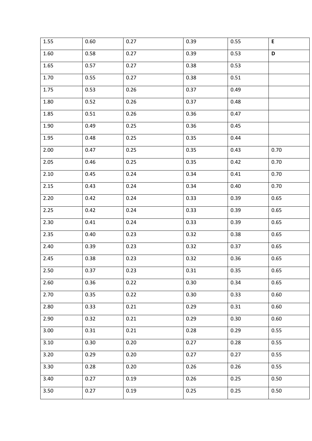| 1.55 | 0.60 | 0.27 | 0.39 | 0.55 | $\mathsf E$ |  |
|------|------|------|------|------|-------------|--|
| 1.60 | 0.58 | 0.27 | 0.39 | 0.53 | $\mathbf D$ |  |
| 1.65 | 0.57 | 0.27 | 0.38 | 0.53 |             |  |
| 1.70 | 0.55 | 0.27 | 0.38 | 0.51 |             |  |
| 1.75 | 0.53 | 0.26 | 0.37 | 0.49 |             |  |
| 1.80 | 0.52 | 0.26 | 0.37 | 0.48 |             |  |
| 1.85 | 0.51 | 0.26 | 0.36 | 0.47 |             |  |
| 1.90 | 0.49 | 0.25 | 0.36 | 0.45 |             |  |
| 1.95 | 0.48 | 0.25 | 0.35 | 0.44 |             |  |
| 2.00 | 0.47 | 0.25 | 0.35 | 0.43 | 0.70        |  |
| 2.05 | 0.46 | 0.25 | 0.35 | 0.42 | 0.70        |  |
| 2.10 | 0.45 | 0.24 | 0.34 | 0.41 | 0.70        |  |
| 2.15 | 0.43 | 0.24 | 0.34 | 0.40 | 0.70        |  |
| 2.20 | 0.42 | 0.24 | 0.33 | 0.39 | 0.65        |  |
| 2.25 | 0.42 | 0.24 | 0.33 | 0.39 | 0.65        |  |
| 2.30 | 0.41 | 0.24 | 0.33 | 0.39 | 0.65        |  |
| 2.35 | 0.40 | 0.23 | 0.32 | 0.38 | 0.65        |  |
| 2.40 | 0.39 | 0.23 | 0.32 | 0.37 | 0.65        |  |
| 2.45 | 0.38 | 0.23 | 0.32 | 0.36 | 0.65        |  |
| 2.50 | 0.37 | 0.23 | 0.31 | 0.35 | 0.65        |  |
| 2.60 | 0.36 | 0.22 | 0.30 | 0.34 | 0.65        |  |
| 2.70 | 0.35 | 0.22 | 0.30 | 0.33 | 0.60        |  |
| 2.80 | 0.33 | 0.21 | 0.29 | 0.31 | 0.60        |  |
| 2.90 | 0.32 | 0.21 | 0.29 | 0.30 | 0.60        |  |
| 3.00 | 0.31 | 0.21 | 0.28 | 0.29 | 0.55        |  |
| 3.10 | 0.30 | 0.20 | 0.27 | 0.28 | 0.55        |  |
| 3.20 | 0.29 | 0.20 | 0.27 | 0.27 | 0.55        |  |
| 3.30 | 0.28 | 0.20 | 0.26 | 0.26 | 0.55        |  |
| 3.40 | 0.27 | 0.19 | 0.26 | 0.25 | 0.50        |  |
| 3.50 | 0.27 | 0.19 | 0.25 | 0.25 | 0.50        |  |
|      |      |      |      |      |             |  |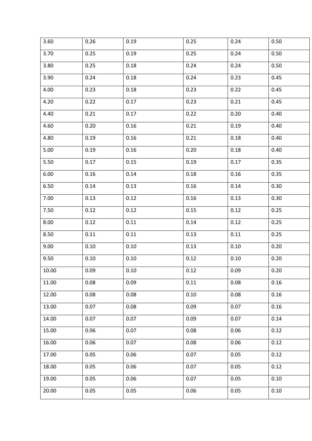| 3.60  | 0.26 | 0.19 | 0.25 | 0.24 | 0.50 |
|-------|------|------|------|------|------|
| 3.70  | 0.25 | 0.19 | 0.25 | 0.24 | 0.50 |
| 3.80  | 0.25 | 0.18 | 0.24 | 0.24 | 0.50 |
| 3.90  | 0.24 | 0.18 | 0.24 | 0.23 | 0.45 |
| 4.00  | 0.23 | 0.18 | 0.23 | 0.22 | 0.45 |
| 4.20  | 0.22 | 0.17 | 0.23 | 0.21 | 0.45 |
| 4.40  | 0.21 | 0.17 | 0.22 | 0.20 | 0.40 |
| 4.60  | 0.20 | 0.16 | 0.21 | 0.19 | 0.40 |
| 4.80  | 0.19 | 0.16 | 0.21 | 0.18 | 0.40 |
| 5.00  | 0.19 | 0.16 | 0.20 | 0.18 | 0.40 |
| 5.50  | 0.17 | 0.15 | 0.19 | 0.17 | 0.35 |
| 6.00  | 0.16 | 0.14 | 0.18 | 0.16 | 0.35 |
| 6.50  | 0.14 | 0.13 | 0.16 | 0.14 | 0.30 |
| 7.00  | 0.13 | 0.12 | 0.16 | 0.13 | 0.30 |
| 7.50  | 0.12 | 0.12 | 0.15 | 0.12 | 0.25 |
| 8.00  | 0.12 | 0.11 | 0.14 | 0.12 | 0.25 |
| 8.50  | 0.11 | 0.11 | 0.13 | 0.11 | 0.25 |
| 9.00  | 0.10 | 0.10 | 0.13 | 0.10 | 0.20 |
| 9.50  | 0.10 | 0.10 | 0.12 | 0.10 | 0.20 |
| 10.00 | 0.09 | 0.10 | 0.12 | 0.09 | 0.20 |
| 11.00 | 0.08 | 0.09 | 0.11 | 0.08 | 0.16 |
| 12.00 | 0.08 | 0.08 | 0.10 | 0.08 | 0.16 |
| 13.00 | 0.07 | 0.08 | 0.09 | 0.07 | 0.16 |
| 14.00 | 0.07 | 0.07 | 0.09 | 0.07 | 0.14 |
| 15.00 | 0.06 | 0.07 | 0.08 | 0.06 | 0.12 |
| 16.00 | 0.06 | 0.07 | 0.08 | 0.06 | 0.12 |
| 17.00 | 0.05 | 0.06 | 0.07 | 0.05 | 0.12 |
| 18.00 | 0.05 | 0.06 | 0.07 | 0.05 | 0.12 |
| 19.00 | 0.05 | 0.06 | 0.07 | 0.05 | 0.10 |
| 20.00 | 0.05 | 0.05 | 0.06 | 0.05 | 0.10 |
|       |      |      |      |      |      |